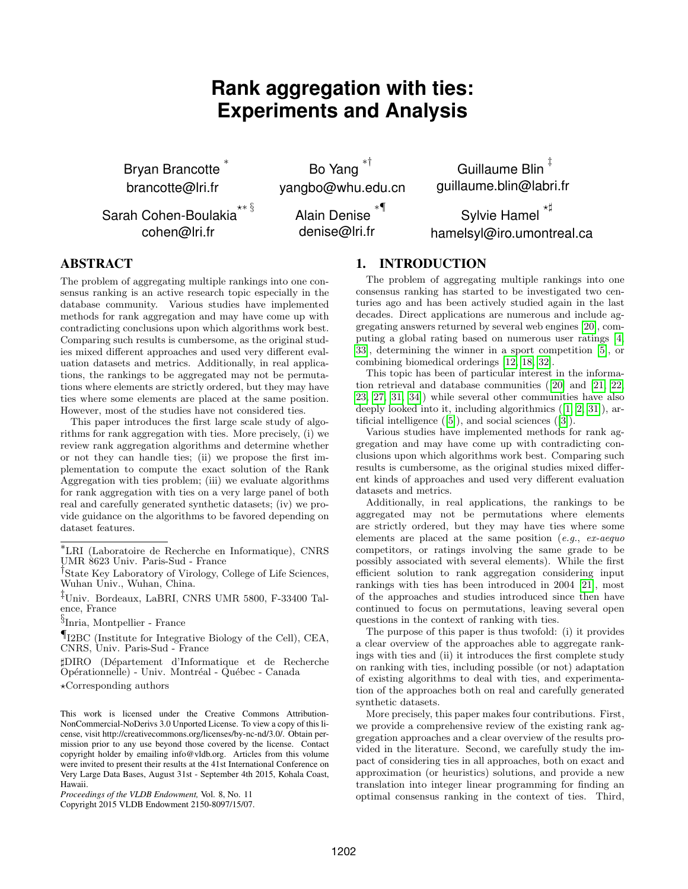# **Rank aggregation with ties: Experiments and Analysis**

Bryan Brancotte ∗ brancotte@lri.fr

cohen@lri.fr

Bo Yang ∗† yangbo@whu.edu.cn

Guillaume Blin ‡ guillaume.blin@labri.fr

Sarah Cohen-Boulakia $^{\star\ast \, \S}$ Alain Denise ∗¶ denise@lri.fr

Sylvie Hamel  $^{\star\sharp}$ hamelsyl@iro.umontreal.ca

# ABSTRACT

The problem of aggregating multiple rankings into one consensus ranking is an active research topic especially in the database community. Various studies have implemented methods for rank aggregation and may have come up with contradicting conclusions upon which algorithms work best. Comparing such results is cumbersome, as the original studies mixed different approaches and used very different evaluation datasets and metrics. Additionally, in real applications, the rankings to be aggregated may not be permutations where elements are strictly ordered, but they may have ties where some elements are placed at the same position. However, most of the studies have not considered ties.

This paper introduces the first large scale study of algorithms for rank aggregation with ties. More precisely, (i) we review rank aggregation algorithms and determine whether or not they can handle ties; (ii) we propose the first implementation to compute the exact solution of the Rank Aggregation with ties problem; (iii) we evaluate algorithms for rank aggregation with ties on a very large panel of both real and carefully generated synthetic datasets; (iv) we provide guidance on the algorithms to be favored depending on dataset features.

‡Univ. Bordeaux, LaBRI, CNRS UMR 5800, F-33400 Talence, France

¶I2BC (Institute for Integrative Biology of the Cell), CEA, CNRS, Univ. Paris-Sud - France

]DIRO (D´epartement d'Informatique et de Recherche Opérationnelle) - Univ. Montréal - Québec - Canada

 $\star$ Corresponding authors

## 1. INTRODUCTION

The problem of aggregating multiple rankings into one consensus ranking has started to be investigated two centuries ago and has been actively studied again in the last decades. Direct applications are numerous and include aggregating answers returned by several web engines [\[20\]](#page-11-0), computing a global rating based on numerous user ratings [\[4,](#page-11-1) [33\]](#page-11-2), determining the winner in a sport competition [\[5\]](#page-11-3), or combining biomedical orderings [\[12,](#page-11-4) [18,](#page-11-5) [32\]](#page-11-6).

This topic has been of particular interest in the information retrieval and database communities ([\[20\]](#page-11-0) and [\[21,](#page-11-7) [22,](#page-11-8) [23,](#page-11-9) [27,](#page-11-10) [31,](#page-11-11) [34\]](#page-11-12)) while several other communities have also deeply looked into it, including algorithmics ([\[1,](#page-10-0) [2,](#page-10-1) [31\]](#page-11-11)), artificial intelligence ([\[5\]](#page-11-3)), and social sciences ([\[3\]](#page-11-13)).

Various studies have implemented methods for rank aggregation and may have come up with contradicting conclusions upon which algorithms work best. Comparing such results is cumbersome, as the original studies mixed different kinds of approaches and used very different evaluation datasets and metrics.

Additionally, in real applications, the rankings to be aggregated may not be permutations where elements are strictly ordered, but they may have ties where some elements are placed at the same position (e.g., ex-aequo competitors, or ratings involving the same grade to be possibly associated with several elements). While the first efficient solution to rank aggregation considering input rankings with ties has been introduced in 2004 [\[21\]](#page-11-7), most of the approaches and studies introduced since then have continued to focus on permutations, leaving several open questions in the context of ranking with ties.

The purpose of this paper is thus twofold: (i) it provides a clear overview of the approaches able to aggregate rankings with ties and (ii) it introduces the first complete study on ranking with ties, including possible (or not) adaptation of existing algorithms to deal with ties, and experimentation of the approaches both on real and carefully generated synthetic datasets.

More precisely, this paper makes four contributions. First, we provide a comprehensive review of the existing rank aggregation approaches and a clear overview of the results provided in the literature. Second, we carefully study the impact of considering ties in all approaches, both on exact and approximation (or heuristics) solutions, and provide a new translation into integer linear programming for finding an optimal consensus ranking in the context of ties. Third,

<sup>∗</sup>LRI (Laboratoire de Recherche en Informatique), CNRS UMR 8623 Univ. Paris-Sud - France

<sup>†</sup> State Key Laboratory of Virology, College of Life Sciences, Wuhan Univ., Wuhan, China.

<sup>§</sup> Inria, Montpellier - France

This work is licensed under the Creative Commons Attribution-NonCommercial-NoDerivs 3.0 Unported License. To view a copy of this license, visit http://creativecommons.org/licenses/by-nc-nd/3.0/. Obtain permission prior to any use beyond those covered by the license. Contact copyright holder by emailing info@vldb.org. Articles from this volume were invited to present their results at the 41st International Conference on Very Large Data Bases, August 31st - September 4th 2015, Kohala Coast, Hawaii.

*Proceedings of the VLDB Endowment,* Vol. 8, No. 11

Copyright 2015 VLDB Endowment 2150-8097/15/07.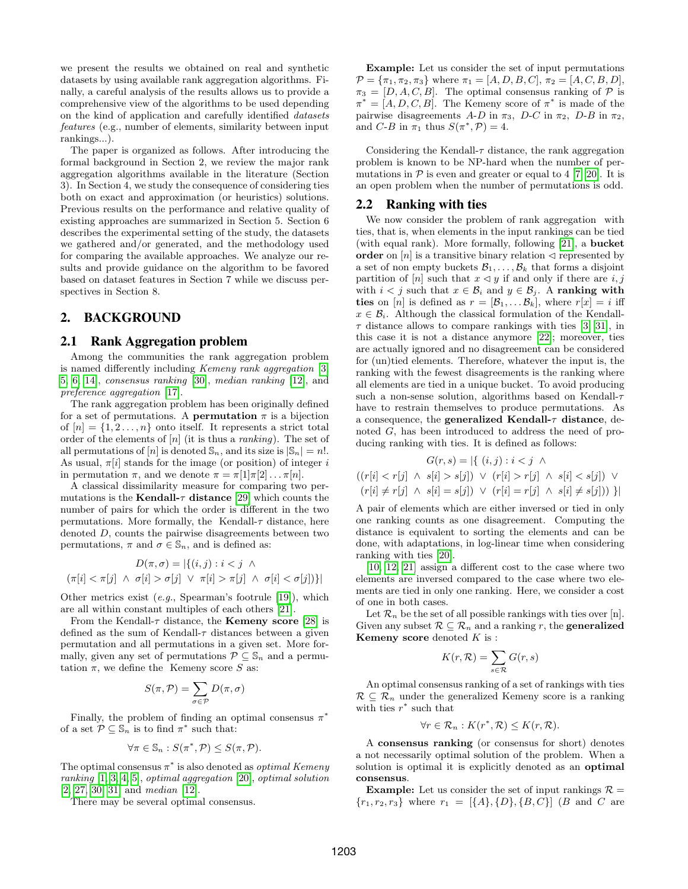we present the results we obtained on real and synthetic datasets by using available rank aggregation algorithms. Finally, a careful analysis of the results allows us to provide a comprehensive view of the algorithms to be used depending on the kind of application and carefully identified datasets features (e.g., number of elements, similarity between input rankings...).

The paper is organized as follows. After introducing the formal background in Section 2, we review the major rank aggregation algorithms available in the literature (Section 3). In Section 4, we study the consequence of considering ties both on exact and approximation (or heuristics) solutions. Previous results on the performance and relative quality of existing approaches are summarized in Section 5. Section 6 describes the experimental setting of the study, the datasets we gathered and/or generated, and the methodology used for comparing the available approaches. We analyze our results and provide guidance on the algorithm to be favored based on dataset features in Section 7 while we discuss perspectives in Section 8.

## 2. BACKGROUND

## 2.1 Rank Aggregation problem

Among the communities the rank aggregation problem is named differently including Kemeny rank aggregation [\[3,](#page-11-13) [5,](#page-11-3) [6,](#page-11-14) [14\]](#page-11-15), consensus ranking [\[30\]](#page-11-16), median ranking [\[12\]](#page-11-4), and preference aggregation [\[17\]](#page-11-17).

The rank aggregation problem has been originally defined for a set of permutations. A **permutation**  $\pi$  is a bijection of  $[n] = \{1, 2, \ldots, n\}$  onto itself. It represents a strict total order of the elements of  $[n]$  (it is thus a *ranking*). The set of all permutations of  $[n]$  is denoted  $\mathbb{S}_n$ , and its size is  $|\mathbb{S}_n| = n!$ . As usual,  $\pi[i]$  stands for the image (or position) of integer i in permutation  $\pi$ , and we denote  $\pi = \pi[1]\pi[2] \dots \pi[n]$ .

A classical dissimilarity measure for comparing two permutations is the **Kendall-** $\tau$  distance [\[29\]](#page-11-18) which counts the number of pairs for which the order is different in the two permutations. More formally, the Kendall- $\tau$  distance, here denoted D, counts the pairwise disagreements between two permutations,  $\pi$  and  $\sigma \in \mathbb{S}_n$ , and is defined as:

$$
D(\pi, \sigma) = |\{(i, j) : i < j \land
$$

$$
(\pi[i] < \pi[j] \land \sigma[i] > \sigma[j] \lor \pi[i] > \pi[j] \land \sigma[i] < \sigma[j])\}|
$$

Other metrics exist (e.g., Spearman's footrule [\[19\]](#page-11-19)), which are all within constant multiples of each others [\[21\]](#page-11-7).

From the Kendall- $\tau$  distance, the **Kemeny score** [\[28\]](#page-11-20) is defined as the sum of Kendall- $\tau$  distances between a given permutation and all permutations in a given set. More formally, given any set of permutations  $\mathcal{P} \subseteq \mathbb{S}_n$  and a permutation  $\pi$ , we define the Kemeny score S as:

$$
S(\pi, \mathcal{P}) = \sum_{\sigma \in \mathcal{P}} D(\pi, \sigma)
$$

Finally, the problem of finding an optimal consensus  $\pi^*$ of a set  $\mathcal{P} \subseteq \mathbb{S}_n$  is to find  $\pi^*$  such that:

$$
\forall \pi \in \mathbb{S}_n : S(\pi^*, \mathcal{P}) \le S(\pi, \mathcal{P}).
$$

The optimal consensus  $\pi^*$  is also denoted as *optimal Kemeny* ranking [\[1,](#page-10-0) [3,](#page-11-13) [4,](#page-11-1) [5\]](#page-11-3), optimal aggregation [\[20\]](#page-11-0), optimal solution [\[2,](#page-10-1) [27,](#page-11-10) [30,](#page-11-16) [31\]](#page-11-11) and median [\[12\]](#page-11-4).

There may be several optimal consensus.

Example: Let us consider the set of input permutations  $\mathcal{P} = {\pi_1, \pi_2, \pi_3}$  where  $\pi_1 = [A, D, B, C], \pi_2 = [A, C, B, D],$  $\pi_3 = [D, A, C, B]$ . The optimal consensus ranking of P is  $\pi^* = [A, D, C, B]$ . The Kemeny score of  $\pi^*$  is made of the pairwise disagreements A-D in  $\pi_3$ , D-C in  $\pi_2$ , D-B in  $\pi_2$ , and C-B in  $\pi_1$  thus  $S(\pi^*, \mathcal{P}) = 4$ .

Considering the Kendall- $\tau$  distance, the rank aggregation problem is known to be NP-hard when the number of permutations in  $P$  is even and greater or equal to 4 [\[7,](#page-11-21) [20\]](#page-11-0). It is an open problem when the number of permutations is odd.

## <span id="page-1-0"></span>2.2 Ranking with ties

We now consider the problem of rank aggregation with ties, that is, when elements in the input rankings can be tied (with equal rank). More formally, following [\[21\]](#page-11-7), a bucket order on  $[n]$  is a transitive binary relation  $\triangleleft$  represented by a set of non empty buckets  $\mathcal{B}_1, \ldots, \mathcal{B}_k$  that forms a disjoint partition of [n] such that  $x \leq y$  if and only if there are  $i, j$ with  $i < j$  such that  $x \in \mathcal{B}_i$  and  $y \in \mathcal{B}_j$ . A ranking with ties on [n] is defined as  $r = [\mathcal{B}_1, \dots, \mathcal{B}_k]$ , where  $r[x] = i$  iff  $x \in \mathcal{B}_i$ . Although the classical formulation of the Kendall- $\tau$  distance allows to compare rankings with ties [\[3,](#page-11-13) [31\]](#page-11-11), in this case it is not a distance anymore [\[22\]](#page-11-8); moreover, ties are actually ignored and no disagreement can be considered for (un)tied elements. Therefore, whatever the input is, the ranking with the fewest disagreements is the ranking where all elements are tied in a unique bucket. To avoid producing such a non-sense solution, algorithms based on Kendall- $\tau$ have to restrain themselves to produce permutations. As a consequence, the **generalized Kendall-** $\tau$  distance, denoted G, has been introduced to address the need of producing ranking with ties. It is defined as follows:

$$
G(r,s) = \left| \{ (i,j) : i < j \land \right.\}
$$

$$
((r[i] < r[j] \land s[i] > s[j]) \lor (r[i] > r[j] \land s[i] < s[j]) \lor \left.\left(r[i] \neq r[j] \land s[i] = s[j]\right) \lor \left(r[i] = r[j] \land s[i] \neq s[j])\right) \} \right|
$$

A pair of elements which are either inversed or tied in only one ranking counts as one disagreement. Computing the distance is equivalent to sorting the elements and can be done, with adaptations, in log-linear time when considering ranking with ties [\[20\]](#page-11-0).

[\[10,](#page-11-22) [12,](#page-11-4) [21\]](#page-11-7) assign a different cost to the case where two elements are inversed compared to the case where two elements are tied in only one ranking. Here, we consider a cost of one in both cases.

Let  $\mathcal{R}_n$  be the set of all possible rankings with ties over [n]. Given any subset  $\mathcal{R} \subseteq \mathcal{R}_n$  and a ranking r, the **generalized Kemeny score** denoted  $K$  is :

$$
K(r, \mathcal{R}) = \sum_{s \in \mathcal{R}} G(r, s)
$$

An optimal consensus ranking of a set of rankings with ties  $\mathcal{R} \subset \mathcal{R}_n$  under the generalized Kemeny score is a ranking with ties  $r^*$  such that

$$
\forall r \in \mathcal{R}_n : K(r^*, \mathcal{R}) \le K(r, \mathcal{R}).
$$

A consensus ranking (or consensus for short) denotes a not necessarily optimal solution of the problem. When a solution is optimal it is explicitly denoted as an **optimal** consensus.

**Example:** Let us consider the set of input rankings  $\mathcal{R} =$  ${r_1, r_2, r_3}$  where  $r_1 = [{A}, {D}, {B}, {C}]$  (*B* and *C* are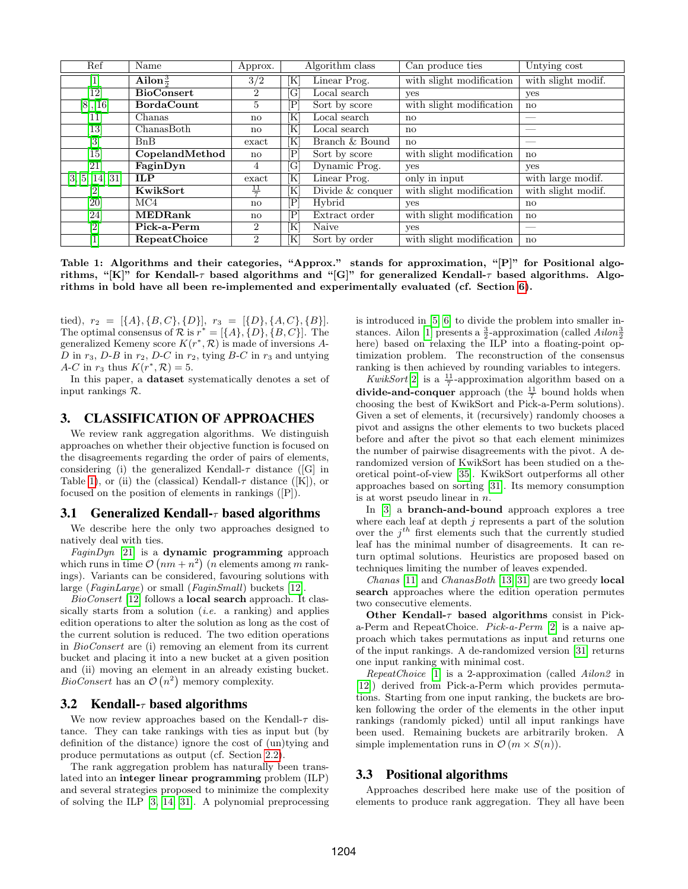| Ref               | Name                | Approx.                |            | Algorithm class  | Can produce ties         | Untying cost           |
|-------------------|---------------------|------------------------|------------|------------------|--------------------------|------------------------|
| $\mathbf{1}$      | Ailon $\frac{3}{6}$ | 3/2                    | Κ          | Linear Prog.     | with slight modification | with slight modif.     |
| $\overline{12}$   | <b>BioConsert</b>   | $\overline{2}$         | [G         | Local search     | yes                      | yes                    |
| [8],[16]          | <b>BordaCount</b>   | 5                      | Ρ          | Sort by score    | with slight modification | $\mathbf{n}$           |
| $\left[11\right]$ | Chanas              | $\mathbf{n}\mathbf{o}$ | ſΚ         | Local search     | $\mathbf{n}$             |                        |
| 13                | ChanasBoth          | no                     | ſΚ         | Local search     | $\mathbf{n}$             | __                     |
| $\overline{[3]}$  | B <sub>n</sub> B    | exact                  | ſΚ         | Branch & Bound   | $\mathbf{n}$             | $\sim$                 |
| $\left[15\right]$ | CopelandMethod      | no                     | $\rm P$    | Sort by score    | with slight modification | $\mathbf{n}$           |
| [21]              | FaginDyn            | 4                      | [G         | Dynamic Prog.    | yes                      | yes                    |
| [3, 5, 14, 31]    | <b>ILP</b>          | exact                  | ſΚ         | Linear Prog.     | only in input            | with large modif.      |
|                   | KwikSort            | 븣                      | ΙK         | Divide & conquer | with slight modification | with slight modif.     |
| [20]              | MC4                 | $\mathbf{n}\mathbf{o}$ | Ρ          | Hybrid           | yes                      | $\mathbf{n}\mathbf{o}$ |
| [24]              | <b>MEDRank</b>      | no                     | $_{\rm P}$ | Extract order    | with slight modification | $\mathbf{n}$           |
| $\overline{[2]}$  | Pick-a-Perm         | $\overline{2}$         | ſΚ         | Naive            | yes                      | $\sim$                 |
| 1                 | RepeatChoice        | $\overline{2}$         | K          | Sort by order    | with slight modification | $\mathbf{n}$           |

<span id="page-2-0"></span>Table 1: Algorithms and their categories, "Approx." stands for approximation, "[P]" for Positional algorithms, "[K]" for Kendall- $\tau$  based algorithms and "[G]" for generalized Kendall- $\tau$  based algorithms. Algorithms in bold have all been re-implemented and experimentally evaluated (cf. Section [6\)](#page-5-0).

tied),  $r_2 = [\{A\}, \{B, C\}, \{D\}], r_3 = [\{D\}, \{A, C\}, \{B\}].$ The optimal consensus of  $\mathcal{R}$  is  $r^* = [\{A\}, \{D\}, \{B, C\}]$ . The generalized Kemeny score  $K(r^*, \mathcal{R})$  is made of inversions A- $D$  in  $r_3$ ,  $D$ - $B$  in  $r_2$ ,  $D$ - $C$  in  $r_2$ , tying  $B$ - $C$  in  $r_3$  and untying A-C in  $r_3$  thus  $K(r^*, \mathcal{R}) = 5$ .

In this paper, a dataset systematically denotes a set of input rankings R.

## 3. CLASSIFICATION OF APPROACHES

We review rank aggregation algorithms. We distinguish approaches on whether their objective function is focused on the disagreements regarding the order of pairs of elements, considering (i) the generalized Kendall- $\tau$  distance ([G] in Table [1\)](#page-2-0), or (ii) the (classical) Kendall- $\tau$  distance ([K]), or focused on the position of elements in rankings ([P]).

#### <span id="page-2-1"></span>3.1 Generalized Kendall- $\tau$  based algorithms

We describe here the only two approaches designed to natively deal with ties.

 $FaginDyn$  [\[21\]](#page-11-7) is a dynamic programming approach which runs in time  $\mathcal{O}(nm + n^2)$  (*n* elements among *m* rankings). Variants can be considered, favouring solutions with large (FaginLarge) or small (FaginSmall) buckets [\[12\]](#page-11-4).

BioConsert [\[12\]](#page-11-4) follows a local search approach. It classically starts from a solution  $(i.e.$  a ranking) and applies edition operations to alter the solution as long as the cost of the current solution is reduced. The two edition operations in BioConsert are (i) removing an element from its current bucket and placing it into a new bucket at a given position and (ii) moving an element in an already existing bucket. *BioConsert* has an  $\mathcal{O}(n^2)$  memory complexity.

#### <span id="page-2-2"></span>3.2 Kendall- $\tau$  based algorithms

We now review approaches based on the Kendall- $\tau$  distance. They can take rankings with ties as input but (by definition of the distance) ignore the cost of (un)tying and produce permutations as output (cf. Section [2.2\)](#page-1-0).

The rank aggregation problem has naturally been translated into an integer linear programming problem (ILP) and several strategies proposed to minimize the complexity of solving the ILP [\[3,](#page-11-13) [14,](#page-11-15) [31\]](#page-11-11). A polynomial preprocessing is introduced in [\[5,](#page-11-3) [6\]](#page-11-14) to divide the problem into smaller in-stances. Ailon [\[1\]](#page-10-0) presents a  $\frac{3}{2}$ -approximation (called  $Ailon\frac{3}{2}$ here) based on relaxing the ILP into a floating-point optimization problem. The reconstruction of the consensus ranking is then achieved by rounding variables to integers.

KwikSort<sup>[\[2\]](#page-10-1)</sup> is a  $\frac{11}{7}$ -approximation algorithm based on a divide-and-conquer approach (the  $\frac{11}{7}$  bound holds when choosing the best of KwikSort and Pick-a-Perm solutions). Given a set of elements, it (recursively) randomly chooses a pivot and assigns the other elements to two buckets placed before and after the pivot so that each element minimizes the number of pairwise disagreements with the pivot. A derandomized version of KwikSort has been studied on a theoretical point-of-view [\[35\]](#page-11-29). KwikSort outperforms all other approaches based on sorting [\[31\]](#page-11-11). Its memory consumption is at worst pseudo linear in n.

In [\[3\]](#page-11-13) a branch-and-bound approach explores a tree where each leaf at depth  $j$  represents a part of the solution over the  $j^{th}$  first elements such that the currently studied leaf has the minimal number of disagreements. It can return optimal solutions. Heuristics are proposed based on techniques limiting the number of leaves expended.

Chanas [\[11\]](#page-11-25) and ChanasBoth [\[13,](#page-11-26) [31\]](#page-11-11) are two greedy local search approaches where the edition operation permutes two consecutive elements.

Other Kendall- $\tau$  based algorithms consist in Picka-Perm and RepeatChoice. Pick-a-Perm [\[2\]](#page-10-1) is a naive approach which takes permutations as input and returns one of the input rankings. A de-randomized version [\[31\]](#page-11-11) returns one input ranking with minimal cost.

RepeatChoice [\[1\]](#page-10-0) is a 2-approximation (called Ailon2 in [\[12\]](#page-11-4)) derived from Pick-a-Perm which provides permutations. Starting from one input ranking, the buckets are broken following the order of the elements in the other input rankings (randomly picked) until all input rankings have been used. Remaining buckets are arbitrarily broken. A simple implementation runs in  $\mathcal{O}(m \times S(n)).$ 

#### <span id="page-2-3"></span>3.3 Positional algorithms

Approaches described here make use of the position of elements to produce rank aggregation. They all have been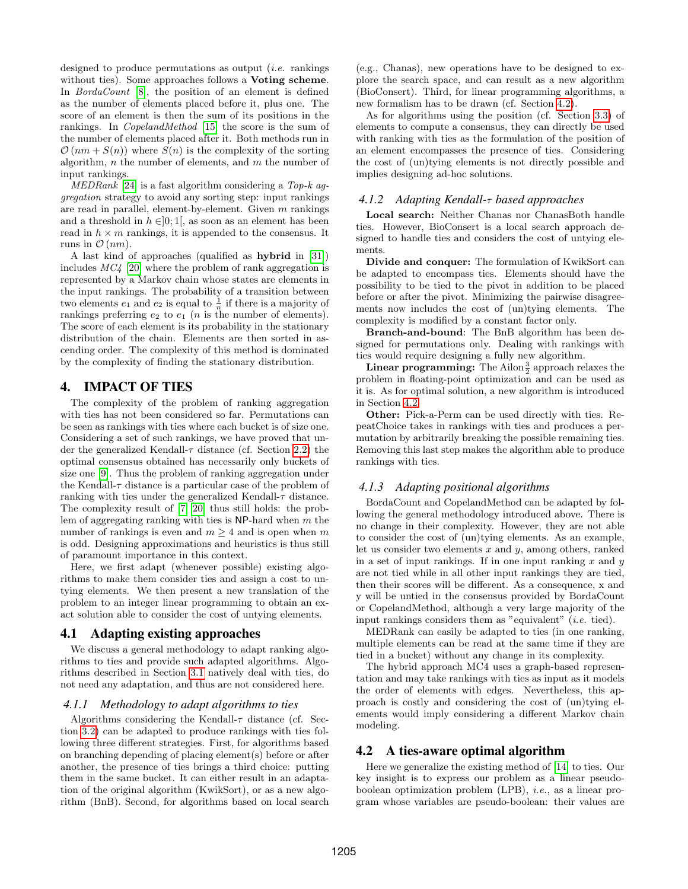designed to produce permutations as output *(i.e.* rankings) without ties). Some approaches follows a **Voting scheme**. In *BordaCount* [\[8\]](#page-11-23), the position of an element is defined as the number of elements placed before it, plus one. The score of an element is then the sum of its positions in the rankings. In CopelandMethod [\[15\]](#page-11-27) the score is the sum of the number of elements placed after it. Both methods run in  $\mathcal{O}(nm + S(n))$  where  $S(n)$  is the complexity of the sorting algorithm,  $n$  the number of elements, and  $m$  the number of input rankings.

 $MEDRank$  [\[24\]](#page-11-28) is a fast algorithm considering a Top-k aggregation strategy to avoid any sorting step: input rankings are read in parallel, element-by-element. Given  $m$  rankings and a threshold in  $h \in ]0;1[$ , as soon as an element has been read in  $h \times m$  rankings, it is appended to the consensus. It runs in  $\mathcal{O}(nm)$ .

A last kind of approaches (qualified as hybrid in [\[31\]](#page-11-11)) includes  $MC<sub>4</sub>$  [\[20\]](#page-11-0) where the problem of rank aggregation is represented by a Markov chain whose states are elements in the input rankings. The probability of a transition between two elements  $e_1$  and  $e_2$  is equal to  $\frac{1}{n}$  if there is a majority of rankings preferring  $e_2$  to  $e_1$  (*n* is the number of elements). The score of each element is its probability in the stationary distribution of the chain. Elements are then sorted in ascending order. The complexity of this method is dominated by the complexity of finding the stationary distribution.

## 4. IMPACT OF TIES

The complexity of the problem of ranking aggregation with ties has not been considered so far. Permutations can be seen as rankings with ties where each bucket is of size one. Considering a set of such rankings, we have proved that under the generalized Kendall- $\tau$  distance (cf. Section [2.2\)](#page-1-0) the optimal consensus obtained has necessarily only buckets of size one [\[9\]](#page-11-30). Thus the problem of ranking aggregation under the Kendall- $\tau$  distance is a particular case of the problem of ranking with ties under the generalized Kendall- $\tau$  distance. The complexity result of [\[7,](#page-11-21) [20\]](#page-11-0) thus still holds: the problem of aggregating ranking with ties is  $NP$ -hard when m the number of rankings is even and  $m \geq 4$  and is open when m is odd. Designing approximations and heuristics is thus still of paramount importance in this context.

Here, we first adapt (whenever possible) existing algorithms to make them consider ties and assign a cost to untying elements. We then present a new translation of the problem to an integer linear programming to obtain an exact solution able to consider the cost of untying elements.

# 4.1 Adapting existing approaches

We discuss a general methodology to adapt ranking algorithms to ties and provide such adapted algorithms. Algorithms described in Section [3.1](#page-2-1) natively deal with ties, do not need any adaptation, and thus are not considered here.

## *4.1.1 Methodology to adapt algorithms to ties*

Algorithms considering the Kendall- $\tau$  distance (cf. Section [3.2\)](#page-2-2) can be adapted to produce rankings with ties following three different strategies. First, for algorithms based on branching depending of placing element(s) before or after another, the presence of ties brings a third choice: putting them in the same bucket. It can either result in an adaptation of the original algorithm (KwikSort), or as a new algorithm (BnB). Second, for algorithms based on local search (e.g., Chanas), new operations have to be designed to explore the search space, and can result as a new algorithm (BioConsert). Third, for linear programming algorithms, a new formalism has to be drawn (cf. Section [4.2\)](#page-3-0).

As for algorithms using the position (cf. Section [3.3\)](#page-2-3) of elements to compute a consensus, they can directly be used with ranking with ties as the formulation of the position of an element encompasses the presence of ties. Considering the cost of (un)tying elements is not directly possible and implies designing ad-hoc solutions.

## *4.1.2 Adapting Kendall-*τ *based approaches*

Local search: Neither Chanas nor ChanasBoth handle ties. However, BioConsert is a local search approach designed to handle ties and considers the cost of untying elements.

Divide and conquer: The formulation of KwikSort can be adapted to encompass ties. Elements should have the possibility to be tied to the pivot in addition to be placed before or after the pivot. Minimizing the pairwise disagreements now includes the cost of (un)tying elements. The complexity is modified by a constant factor only.

Branch-and-bound: The BnB algorithm has been designed for permutations only. Dealing with rankings with ties would require designing a fully new algorithm.

**Linear programming:** The Ailon $\frac{3}{2}$  approach relaxes the problem in floating-point optimization and can be used as it is. As for optimal solution, a new algorithm is introduced in Section [4.2.](#page-3-0)

Other: Pick-a-Perm can be used directly with ties. RepeatChoice takes in rankings with ties and produces a permutation by arbitrarily breaking the possible remaining ties. Removing this last step makes the algorithm able to produce rankings with ties.

#### *4.1.3 Adapting positional algorithms*

BordaCount and CopelandMethod can be adapted by following the general methodology introduced above. There is no change in their complexity. However, they are not able to consider the cost of (un)tying elements. As an example, let us consider two elements  $x$  and  $y$ , among others, ranked in a set of input rankings. If in one input ranking  $x$  and  $y$ are not tied while in all other input rankings they are tied, then their scores will be different. As a consequence, x and y will be untied in the consensus provided by BordaCount or CopelandMethod, although a very large majority of the input rankings considers them as "equivalent" (i.e. tied).

MEDRank can easily be adapted to ties (in one ranking, multiple elements can be read at the same time if they are tied in a bucket) without any change in its complexity.

The hybrid approach MC4 uses a graph-based representation and may take rankings with ties as input as it models the order of elements with edges. Nevertheless, this approach is costly and considering the cost of (un)tying elements would imply considering a different Markov chain modeling.

## <span id="page-3-0"></span>4.2 A ties-aware optimal algorithm

Here we generalize the existing method of [\[14\]](#page-11-15) to ties. Our key insight is to express our problem as a linear pseudoboolean optimization problem (LPB), i.e., as a linear program whose variables are pseudo-boolean: their values are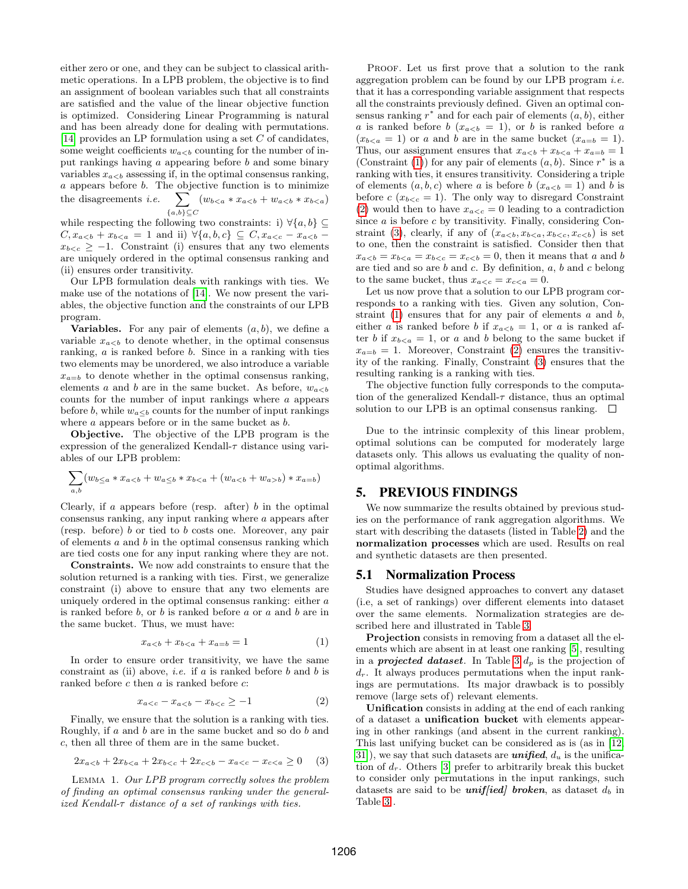either zero or one, and they can be subject to classical arithmetic operations. In a LPB problem, the objective is to find an assignment of boolean variables such that all constraints are satisfied and the value of the linear objective function is optimized. Considering Linear Programming is natural and has been already done for dealing with permutations. [\[14\]](#page-11-15) provides an LP formulation using a set C of candidates, some weight coefficients  $w_{a counting for the number of in$ put rankings having a appearing before b and some binary variables  $x_{a assessing if, in the optimal consensus ranking,$ a appears before b. The objective function is to minimize the disagreements  $i.e.$  $\{a,b\} \mathcal{\subseteq} C$  $\sum (w_{b$ 

while respecting the following two constraints: i)  $\forall \{a, b\} \subseteq$  $C, x_{a and ii)  $\forall \{a, b, c\} \subseteq C, x_{a$$  $x_{b < c} \geq -1$ . Constraint (i) ensures that any two elements are uniquely ordered in the optimal consensus ranking and (ii) ensures order transitivity.

Our LPB formulation deals with rankings with ties. We make use of the notations of [\[14\]](#page-11-15). We now present the variables, the objective function and the constraints of our LPB program.

**Variables.** For any pair of elements  $(a, b)$ , we define a variable  $x_{a to denote whether, in the optimal consensus$ ranking, a is ranked before b. Since in a ranking with ties two elements may be unordered, we also introduce a variable  $x_{a=b}$  to denote whether in the optimal consensus ranking, elements a and b are in the same bucket. As before,  $w_{a$ counts for the number of input rankings where a appears before b, while  $w_{a\leq b}$  counts for the number of input rankings where  $a$  appears before or in the same bucket as  $b$ .

Objective. The objective of the LPB program is the expression of the generalized Kendall- $\tau$  distance using variables of our LPB problem:

$$
\sum_{a,b} (w_{b \le a} * x_{a < b} + w_{a \le b} * x_{b < a} + (w_{a < b} + w_{a > b}) * x_{a = b})
$$

Clearly, if a appears before (resp. after)  $b$  in the optimal consensus ranking, any input ranking where a appears after (resp. before) b or tied to b costs one. Moreover, any pair of elements  $a$  and  $b$  in the optimal consensus ranking which are tied costs one for any input ranking where they are not.

Constraints. We now add constraints to ensure that the solution returned is a ranking with ties. First, we generalize constraint (i) above to ensure that any two elements are uniquely ordered in the optimal consensus ranking: either a is ranked before b, or b is ranked before a or a and b are in the same bucket. Thus, we must have:

<span id="page-4-0"></span>
$$
x_{a
$$

In order to ensure order transitivity, we have the same constraint as (ii) above, *i.e.* if  $a$  is ranked before  $b$  and  $b$  is ranked before  $c$  then  $a$  is ranked before  $c$ :

<span id="page-4-1"></span>
$$
x_{a < c} - x_{a < b} - x_{b < c} \ge -1 \tag{2}
$$

Finally, we ensure that the solution is a ranking with ties. Roughly, if a and b are in the same bucket and so do b and c, then all three of them are in the same bucket.

<span id="page-4-2"></span>
$$
2x_{a (3)
$$

Lemma 1. Our LPB program correctly solves the problem of finding an optimal consensus ranking under the generalized Kendall- $\tau$  distance of a set of rankings with ties.

PROOF. Let us first prove that a solution to the rank aggregation problem can be found by our LPB program *i.e.* that it has a corresponding variable assignment that respects all the constraints previously defined. Given an optimal consensus ranking  $r^*$  and for each pair of elements  $(a, b)$ , either a is ranked before b  $(x_{a, or b is ranked before a$  $(x_{b or a and b are in the same bucket  $(x_{a=b} = 1)$ .$ Thus, our assignment ensures that  $x_{a$ (Constraint [\(1\)](#page-4-0)) for any pair of elements  $(a, b)$ . Since  $r^*$  is a ranking with ties, it ensures transitivity. Considering a triple of elements  $(a, b, c)$  where a is before  $b$   $(x_{a and b is$ before  $c$  ( $x_{b < c} = 1$ ). The only way to disregard Constraint [\(2\)](#page-4-1) would then to have  $x_{a\leq c} = 0$  leading to a contradiction since  $a$  is before  $c$  by transitivity. Finally, considering Con-straint [\(3\)](#page-4-2), clearly, if any of  $(x_{a is set$ to one, then the constraint is satisfied. Consider then that  $x_{a, then it means that a and b$ are tied and so are  $b$  and  $c$ . By definition,  $a, b$  and  $c$  belong to the same bucket, thus  $x_{a < c} = x_{c < a} = 0$ .

Let us now prove that a solution to our LPB program corresponds to a ranking with ties. Given any solution, Constraint  $(1)$  ensures that for any pair of elements  $a$  and  $b$ , either a is ranked before b if  $x_{a, or a is ranked af$ ter b if  $x_{b, or a and b belong to the same bucket if$  $x_{a=b} = 1$ . Moreover, Constraint [\(2\)](#page-4-1) ensures the transitivity of the ranking. Finally, Constraint [\(3\)](#page-4-2) ensures that the resulting ranking is a ranking with ties.

The objective function fully corresponds to the computation of the generalized Kendall- $\tau$  distance, thus an optimal solution to our LPB is an optimal consensus ranking.  $\square$ 

Due to the intrinsic complexity of this linear problem, optimal solutions can be computed for moderately large datasets only. This allows us evaluating the quality of nonoptimal algorithms.

## 5. PREVIOUS FINDINGS

We now summarize the results obtained by previous studies on the performance of rank aggregation algorithms. We start with describing the datasets (listed in Table [2\)](#page-5-1) and the normalization processes which are used. Results on real and synthetic datasets are then presented.

#### <span id="page-4-3"></span>5.1 Normalization Process

Studies have designed approaches to convert any dataset (i.e, a set of rankings) over different elements into dataset over the same elements. Normalization strategies are described here and illustrated in Table [3.](#page-5-2)

Projection consists in removing from a dataset all the elements which are absent in at least one ranking [\[5\]](#page-11-3), resulting in a **projected dataset**. In Table [3](#page-5-2)  $d_p$  is the projection of  $d_r$ . It always produces permutations when the input rankings are permutations. Its major drawback is to possibly remove (large sets of) relevant elements.

Unification consists in adding at the end of each ranking of a dataset a unification bucket with elements appearing in other rankings (and absent in the current ranking). This last unifying bucket can be considered as is (as in [\[12,](#page-11-4) 31), we say that such datasets are **unified**,  $d_u$  is the unification of  $d_r$ . Others [\[3\]](#page-11-13) prefer to arbitrarily break this bucket to consider only permutations in the input rankings, such datasets are said to be *uniffied* broken, as dataset  $d_b$  in Table [3](#page-5-2) .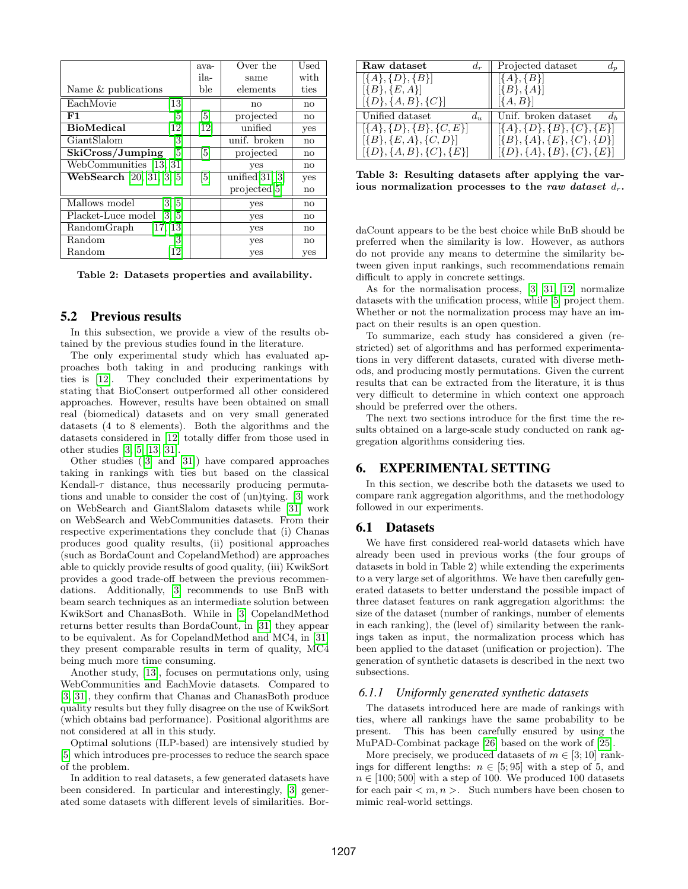|                                            | ava-              | Over the                 | $_{\rm Used}$ |
|--------------------------------------------|-------------------|--------------------------|---------------|
|                                            | ila-              | same                     | with          |
| Name & publications                        | ble               | elements                 | ties          |
| EachMovie<br>$\left\lceil 13 \right\rceil$ |                   | no                       | $\mathbf{n}$  |
| F1<br> 5                                   | [5]               | projected                | no            |
| <b>BioMedical</b><br>12]                   | $\left[12\right]$ | unified                  | yes           |
| GiantSlalom<br>3                           |                   | unif. broken             | no            |
| SkiCross/Jumping<br> 5                     | $\vert 5 \vert$   | projected                | no            |
| WebCommunities [13, 31]                    |                   | yes                      | $\mathbf{n}$  |
| <b>WebSearch</b> [20, 31, 3, 5]            | $\lceil 5 \rceil$ | unified $[31, 3]$        | yes           |
|                                            |                   | projected <sup>[5]</sup> | no            |
| Mallows model<br>[3, 5]                    |                   | yes                      | no            |
| Placket-Luce model<br>[3, 5]               |                   | yes                      | $\mathbf{n}$  |
| [17, 13]<br>RandomGraph                    |                   | yes                      | no            |
| Random<br> 3                               |                   | yes                      | $\mathbf{n}$  |
| Random<br>12                               |                   | yes                      | yes           |

<span id="page-5-1"></span>Table 2: Datasets properties and availability.

## 5.2 Previous results

In this subsection, we provide a view of the results obtained by the previous studies found in the literature.

The only experimental study which has evaluated approaches both taking in and producing rankings with ties is [\[12\]](#page-11-4). They concluded their experimentations by stating that BioConsert outperformed all other considered approaches. However, results have been obtained on small real (biomedical) datasets and on very small generated datasets (4 to 8 elements). Both the algorithms and the datasets considered in [\[12\]](#page-11-4) totally differ from those used in other studies [\[3,](#page-11-13) [5,](#page-11-3) [13,](#page-11-26) [31\]](#page-11-11).

Other studies ([\[3\]](#page-11-13) and [\[31\]](#page-11-11)) have compared approaches taking in rankings with ties but based on the classical Kendall- $\tau$  distance, thus necessarily producing permutations and unable to consider the cost of (un)tying. [\[3\]](#page-11-13) work on WebSearch and GiantSlalom datasets while [\[31\]](#page-11-11) work on WebSearch and WebCommunities datasets. From their respective experimentations they conclude that (i) Chanas produces good quality results, (ii) positional approaches (such as BordaCount and CopelandMethod) are approaches able to quickly provide results of good quality, (iii) KwikSort provides a good trade-off between the previous recommendations. Additionally, [\[3\]](#page-11-13) recommends to use BnB with beam search techniques as an intermediate solution between KwikSort and ChanasBoth. While in [\[3\]](#page-11-13) CopelandMethod returns better results than BordaCount, in [\[31\]](#page-11-11) they appear to be equivalent. As for CopelandMethod and MC4, in [\[31\]](#page-11-11) they present comparable results in term of quality, MC4 being much more time consuming.

Another study, [\[13\]](#page-11-26), focuses on permutations only, using WebCommunities and EachMovie datasets. Compared to [\[3,](#page-11-13) [31\]](#page-11-11), they confirm that Chanas and ChanasBoth produce quality results but they fully disagree on the use of KwikSort (which obtains bad performance). Positional algorithms are not considered at all in this study.

Optimal solutions (ILP-based) are intensively studied by [\[5\]](#page-11-3) which introduces pre-processes to reduce the search space of the problem.

In addition to real datasets, a few generated datasets have been considered. In particular and interestingly, [\[3\]](#page-11-13) generated some datasets with different levels of similarities. Bor-

| Raw dataset<br>$d_r$              | Projected dataset                     |
|-----------------------------------|---------------------------------------|
| $[\{A\}, \{D\}, \{B\}]$           | $[{A}, {B}]$                          |
| $[\{B\}, \{E, A\}]$               | $[\{B\}, \{A\}]$                      |
| $[\{D\}, \{A, B\}, \{C\}]$        | $[\{A, B\}]$                          |
| Unified dataset<br>$d_u$          | Unif. broken dataset                  |
| $[\{A\}, \{D\}, \{B\}, \{C, E\}]$ | $[\{A\}, \{D\}, \{B\}, \{C\}, \{E\}]$ |
| $[\{B\}, \{E, A\}, \{C, D\}]$     | $[\{B\},\{A\},\{E\},\{C\},\{D\}]$     |
| $[\{D\}, \{A, B\}, \{C\}, \{E\}]$ | $[\{D\},\{A\},\{B\},\{C\},\{E\}]$     |

<span id="page-5-2"></span>Table 3: Resulting datasets after applying the various normalization processes to the raw dataset  $d_r$ .

daCount appears to be the best choice while BnB should be preferred when the similarity is low. However, as authors do not provide any means to determine the similarity between given input rankings, such recommendations remain difficult to apply in concrete settings.

As for the normalisation process, [\[3,](#page-11-13) [31,](#page-11-11) [12\]](#page-11-4) normalize datasets with the unification process, while [\[5\]](#page-11-3) project them. Whether or not the normalization process may have an impact on their results is an open question.

To summarize, each study has considered a given (restricted) set of algorithms and has performed experimentations in very different datasets, curated with diverse methods, and producing mostly permutations. Given the current results that can be extracted from the literature, it is thus very difficult to determine in which context one approach should be preferred over the others.

The next two sections introduce for the first time the results obtained on a large-scale study conducted on rank aggregation algorithms considering ties.

## <span id="page-5-0"></span>6. EXPERIMENTAL SETTING

In this section, we describe both the datasets we used to compare rank aggregation algorithms, and the methodology followed in our experiments.

#### 6.1 Datasets

We have first considered real-world datasets which have already been used in previous works (the four groups of datasets in bold in Table 2) while extending the experiments to a very large set of algorithms. We have then carefully generated datasets to better understand the possible impact of three dataset features on rank aggregation algorithms: the size of the dataset (number of rankings, number of elements in each ranking), the (level of) similarity between the rankings taken as input, the normalization process which has been applied to the dataset (unification or projection). The generation of synthetic datasets is described in the next two subsections.

#### *6.1.1 Uniformly generated synthetic datasets*

The datasets introduced here are made of rankings with ties, where all rankings have the same probability to be present. This has been carefully ensured by using the MuPAD-Combinat package [\[26\]](#page-11-31) based on the work of [\[25\]](#page-11-32).

More precisely, we produced datasets of  $m \in [3, 10]$  rankings for different lengths:  $n \in [5, 95]$  with a step of 5, and  $n \in [100; 500]$  with a step of 100. We produced 100 datasets for each pair  $\langle m, n \rangle$ . Such numbers have been chosen to mimic real-world settings.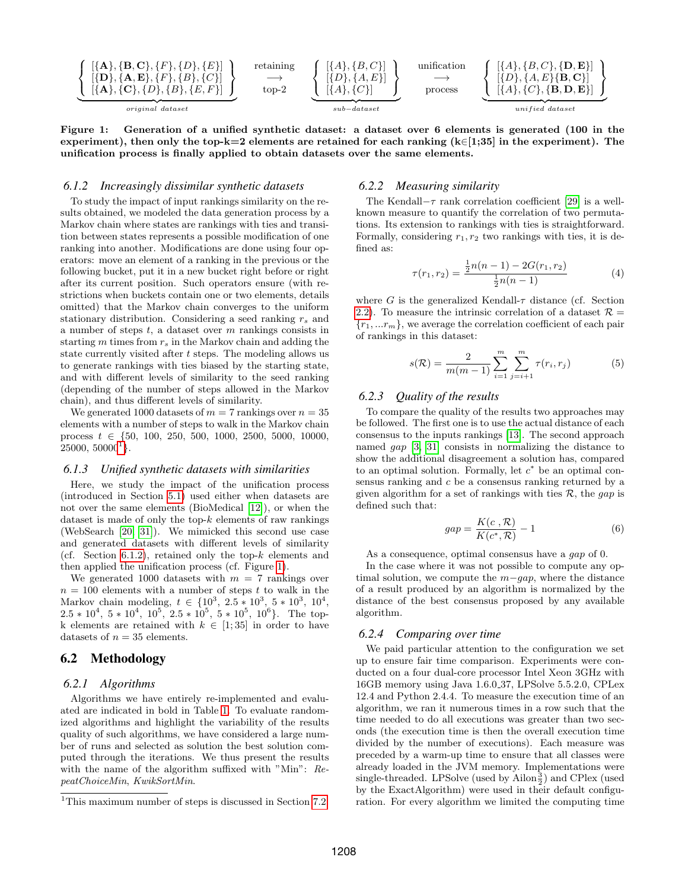

<span id="page-6-2"></span>Figure 1: Generation of a unified synthetic dataset: a dataset over 6 elements is generated (100 in the experiment), then only the top-k=2 elements are retained for each ranking  $(k \in [1;35]$  in the experiment). The unification process is finally applied to obtain datasets over the same elements.

#### <span id="page-6-1"></span>*6.1.2 Increasingly dissimilar synthetic datasets*

To study the impact of input rankings similarity on the results obtained, we modeled the data generation process by a Markov chain where states are rankings with ties and transition between states represents a possible modification of one ranking into another. Modifications are done using four operators: move an element of a ranking in the previous or the following bucket, put it in a new bucket right before or right after its current position. Such operators ensure (with restrictions when buckets contain one or two elements, details omitted) that the Markov chain converges to the uniform stationary distribution. Considering a seed ranking  $r_s$  and a number of steps  $t$ , a dataset over  $m$  rankings consists in starting  $m$  times from  $r_s$  in the Markov chain and adding the state currently visited after t steps. The modeling allows us to generate rankings with ties biased by the starting state, and with different levels of similarity to the seed ranking (depending of the number of steps allowed in the Markov chain), and thus different levels of similarity.

We generated 1000 datasets of  $m = 7$  rankings over  $n = 35$ elements with a number of steps to walk in the Markov chain process  $t \in \{50, 100, 250, 500, 1000, 2500, 5000, 10000,$  $25000, 50000^1$  $25000, 50000^1$ .

#### <span id="page-6-3"></span>*6.1.3 Unified synthetic datasets with similarities*

Here, we study the impact of the unification process (introduced in Section [5.1\)](#page-4-3) used either when datasets are not over the same elements (BioMedical [\[12\]](#page-11-4)), or when the dataset is made of only the top- $k$  elements of raw rankings (WebSearch [\[20,](#page-11-0) [31\]](#page-11-11)). We mimicked this second use case and generated datasets with different levels of similarity (cf. Section [6.1.2\)](#page-6-1), retained only the top- $k$  elements and then applied the unification process (cf. Figure [1\)](#page-6-2).

We generated 1000 datasets with  $m = 7$  rankings over  $n = 100$  elements with a number of steps t to walk in the Markov chain modeling,  $t \in \{10^3, 2.5 * 10^3, 5 * 10^3, 10^4,$  $2.5 * 10^4$ ,  $5 * 10^4$ ,  $10^5$ ,  $2.5 * 10^5$ ,  $5 * 10^5$ ,  $10^6$ }. The topk elements are retained with  $k \in [1, 35]$  in order to have datasets of  $n = 35$  elements.

## 6.2 Methodology

#### *6.2.1 Algorithms*

Algorithms we have entirely re-implemented and evaluated are indicated in bold in Table [1.](#page-2-0) To evaluate randomized algorithms and highlight the variability of the results quality of such algorithms, we have considered a large number of runs and selected as solution the best solution computed through the iterations. We thus present the results with the name of the algorithm suffixed with "Min": RepeatChoiceMin, KwikSortMin.

#### *6.2.2 Measuring similarity*

The Kendall– $\tau$  rank correlation coefficient [\[29\]](#page-11-18) is a wellknown measure to quantify the correlation of two permutations. Its extension to rankings with ties is straightforward. Formally, considering  $r_1, r_2$  two rankings with ties, it is defined as:

$$
\tau(r_1, r_2) = \frac{\frac{1}{2}n(n-1) - 2G(r_1, r_2)}{\frac{1}{2}n(n-1)}
$$
(4)

where G is the generalized Kendall- $\tau$  distance (cf. Section [2.2\)](#page-1-0). To measure the intrinsic correlation of a dataset  $\mathcal{R} =$  ${r_1, ... r_m}$ , we average the correlation coefficient of each pair of rankings in this dataset:

$$
s(\mathcal{R}) = \frac{2}{m(m-1)} \sum_{i=1}^{m} \sum_{j=i+1}^{m} \tau(r_i, r_j)
$$
(5)

#### *6.2.3 Quality of the results*

To compare the quality of the results two approaches may be followed. The first one is to use the actual distance of each consensus to the inputs rankings [\[13\]](#page-11-26). The second approach named gap [\[3,](#page-11-13) [31\]](#page-11-11) consists in normalizing the distance to show the additional disagreement a solution has, compared to an optimal solution. Formally, let  $c^*$  be an optimal consensus ranking and c be a consensus ranking returned by a given algorithm for a set of rankings with ties  $\mathcal{R}$ , the gap is defined such that:

$$
gap = \frac{K(c \cdot \mathcal{R})}{K(c^*, \mathcal{R})} - 1 \tag{6}
$$

As a consequence, optimal consensus have a gap of 0.

In the case where it was not possible to compute any optimal solution, we compute the  $m-qap$ , where the distance of a result produced by an algorithm is normalized by the distance of the best consensus proposed by any available algorithm.

## *6.2.4 Comparing over time*

We paid particular attention to the configuration we set up to ensure fair time comparison. Experiments were conducted on a four dual-core processor Intel Xeon 3GHz with 16GB memory using Java 1.6.0 37, LPSolve 5.5.2.0, CPLex 12.4 and Python 2.4.4. To measure the execution time of an algorithm, we ran it numerous times in a row such that the time needed to do all executions was greater than two seconds (the execution time is then the overall execution time divided by the number of executions). Each measure was preceded by a warm-up time to ensure that all classes were already loaded in the JVM memory. Implementations were single-threaded. LPSolve (used by Ailon $\frac{3}{2}$ ) and CPlex (used by the ExactAlgorithm) were used in their default configuration. For every algorithm we limited the computing time

<span id="page-6-0"></span><sup>&</sup>lt;sup>1</sup>This maximum number of steps is discussed in Section [7.2.](#page-8-0)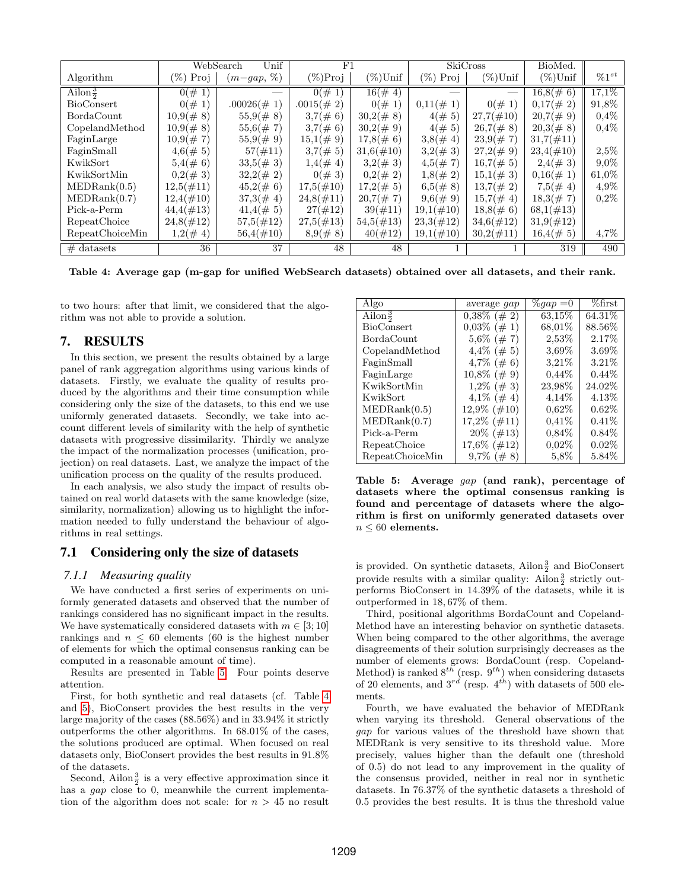|                     |                | WebSearch<br>Unif | F1           |              |                | SkiCross     | BioMed.      |            |
|---------------------|----------------|-------------------|--------------|--------------|----------------|--------------|--------------|------------|
| Algorithm           | $(\%)$<br>Proj | $(m-gap, %$       | $(\%)$ Proj  | $(\%)$ Unif  | $(\%)$<br>Proj | $(\%)$ Unif  | $(\%)$ Unif  | $\%1^{st}$ |
| Ailon $\frac{3}{2}$ | $0(\# 1)$      |                   | $0(\# 1)$    | $16(\# 4)$   |                |              | $16,8(\# 6)$ | 17.1\%     |
| <b>BioConsert</b>   | $0(\# 1)$      | $.00026(\# 1)$    | $.0015(\#2)$ | $0(\# 1)$    | $0,11(\# 1)$   | $0(\# 1)$    | $0,17(\# 2)$ | 91,8%      |
| BordaCount          | $10,9(\# 8)$   | $55,9(\# 8)$      | $3,7(\# 6)$  | $30,2(\# 8)$ | $4(\# 5)$      | $27,7(\#10)$ | $20,7(\#9)$  | $0,4\%$    |
| CopelandMethod      | $10,9(\# 8)$   | $55,6(\# 7)$      | $3,7(\# 6)$  | $30,2(\#9)$  | $4(\# 5)$      | $26,7(\# 8)$ | $20,3(\# 8)$ | 0,4%       |
| FaginLarge          | $10,9(\# 7)$   | $55,9(\#9)$       | $15,1(\#9)$  | $17,8(\# 6)$ | 3,8(# 4)       | $23.9(\# 7)$ | $31,7(\#11)$ |            |
| FaginSmall          | $4,6(\# 5)$    | $57(\#11)$        | $3,7(\# 5)$  | $31,6(\#10)$ | $3,2(\# 3)$    | $27,2(\#9)$  | $23,4(\#10)$ | 2,5%       |
| KwikSort            | $5,4( \# 6)$   | 33,5(# 3)         | 1,4(# 4)     | $3,2(\# 3)$  | $4,5(\# 7)$    | $16,7(\# 5)$ | 2,4(#3)      | $9,0\%$    |
| KwikSortMin         | $0,2(\# 3)$    | $32,2(\# 2)$      | $0(\# 3)$    | $0,2(\# 2)$  | 1,8(#2)        | $15,1(\# 3)$ | $0,16(\# 1)$ | 61,0%      |
| MEDRank(0.5)        | $12,5(\#11)$   | $45,2(\# 6)$      | $17,5(\#10)$ | $17,2(\# 5)$ | $6,5(\# 8)$    | $13,7(\# 2)$ | 7,5(# 4)     | $4.9\%$    |
| MEDRank(0.7)        | $12,4(\#10)$   | 37,3(# 4)         | $24,8(\#11)$ | $20,7(\# 7)$ | $9,6(\#9)$     | $15,7(\# 4)$ | 18,3(# 7)    | $0.2\%$    |
| Pick-a-Perm         | $44,4(\#13)$   | 41,4(# 5)         | $27(\#12)$   | $39(\#11)$   | $19,1(\#10)$   | $18,8(\# 6)$ | $68,1(\#13)$ |            |
| RepeatChoice        | $24,8(\#12)$   | $57,5(\#12)$      | $27,5(\#13)$ | $54,5(\#13)$ | $23,3(\#12)$   | $34,6(\#12)$ | $31,9(\#12)$ |            |
| RepeatChoiceMin     | $1,2(\# 4)$    | $56,4(\#10)$      | $8,9(\# 8)$  | $40(\#12)$   | $19,1(\#10)$   | $30,2(\#11)$ | 16,4(# 5)    | $4,7\%$    |
| $#$ datasets        | 36             | 37                | 48           | 48           |                |              | 319          | 490        |

<span id="page-7-1"></span>Table 4: Average gap (m-gap for unified WebSearch datasets) obtained over all datasets, and their rank.

to two hours: after that limit, we considered that the algorithm was not able to provide a solution.

## 7. RESULTS

In this section, we present the results obtained by a large panel of rank aggregation algorithms using various kinds of datasets. Firstly, we evaluate the quality of results produced by the algorithms and their time consumption while considering only the size of the datasets, to this end we use uniformly generated datasets. Secondly, we take into account different levels of similarity with the help of synthetic datasets with progressive dissimilarity. Thirdly we analyze the impact of the normalization processes (unification, projection) on real datasets. Last, we analyze the impact of the unification process on the quality of the results produced.

In each analysis, we also study the impact of results obtained on real world datasets with the same knowledge (size, similarity, normalization) allowing us to highlight the information needed to fully understand the behaviour of algorithms in real settings.

# 7.1 Considering only the size of datasets

# *7.1.1 Measuring quality*

We have conducted a first series of experiments on uniformly generated datasets and observed that the number of rankings considered has no significant impact in the results. We have systematically considered datasets with  $m \in [3, 10]$ rankings and  $n \leq 60$  elements (60 is the highest number of elements for which the optimal consensus ranking can be computed in a reasonable amount of time).

Results are presented in Table [5.](#page-7-0) Four points deserve attention.

First, for both synthetic and real datasets (cf. Table [4](#page-7-1) and [5\)](#page-7-0), BioConsert provides the best results in the very large majority of the cases (88.56%) and in 33.94% it strictly outperforms the other algorithms. In 68.01% of the cases, the solutions produced are optimal. When focused on real datasets only, BioConsert provides the best results in 91.8% of the datasets.

Second, Ailon $\frac{3}{2}$  is a very effective approximation since it has a *gap* close to 0, meanwhile the current implementation of the algorithm does not scale: for  $n > 45$  no result

| Algo                | average gap     | $\%gap = 0$ | $\%$ first |
|---------------------|-----------------|-------------|------------|
| Ailon $\frac{3}{2}$ | $0,38\%~(\#~2)$ | 63,15%      | 64.31%     |
| BioConsert          | $0.03\%~(\#~1)$ | 68,01\%     | 88.56%     |
| BordaCount          | $5,6\%~(\#~7)$  | 2,53%       | 2.17%      |
| CopelandMethod      | $4,4\%~(\#~5)$  | $3.69\%$    | 3.69%      |
| FaginSmall          | $4,7\%~(\#~6)$  | $3.21\%$    | $3.21\%$   |
| FaginLarge          | $10,8\%~(\#~9)$ | $0.44\%$    | $0.44\%$   |
| KwikSortMin         | $1,2\%~(\#~3)$  | 23,98%      | 24.02%     |
| KwikSort            | $4,1\%~(\#~4)$  | 4,14%       | 4.13%      |
| MEDRank(0.5)        | $12.9\%$ (#10)  | $0.62\%$    | $0.62\%$   |
| MEDRank(0.7)        | $17,2\%$ (#11)  | $0.41\%$    | 0.41%      |
| Pick-a-Perm         | $20\%$ (#13)    | $0.84\%$    | $0.84\%$   |
| RepeatChoice        | $17,6\%$ (#12)  | $0.02\%$    | $0.02\%$   |
| RepeatChoiceMin     | $9,7\%~(\#~8)$  | $5.8\%$     | $5.84\%$   |

<span id="page-7-0"></span>Table 5: Average gap (and rank), percentage of datasets where the optimal consensus ranking is found and percentage of datasets where the algorithm is first on uniformly generated datasets over  $n \leq 60$  elements.

is provided. On synthetic datasets,  $\text{Allon}\frac{3}{2}$  and BioConsert provide results with a similar quality: Ailon $\frac{3}{2}$  strictly outperforms BioConsert in 14.39% of the datasets, while it is outperformed in 18, 67% of them.

Third, positional algorithms BordaCount and Copeland-Method have an interesting behavior on synthetic datasets. When being compared to the other algorithms, the average disagreements of their solution surprisingly decreases as the number of elements grows: BordaCount (resp. Copeland-Method) is ranked  $8^{th}$  (resp.  $9^{th}$ ) when considering datasets of 20 elements, and  $3^{rd}$  (resp.  $4^{th}$ ) with datasets of 500 elements.

Fourth, we have evaluated the behavior of MEDRank when varying its threshold. General observations of the gap for various values of the threshold have shown that MEDRank is very sensitive to its threshold value. More precisely, values higher than the default one (threshold of 0.5) do not lead to any improvement in the quality of the consensus provided, neither in real nor in synthetic datasets. In 76.37% of the synthetic datasets a threshold of 0.5 provides the best results. It is thus the threshold value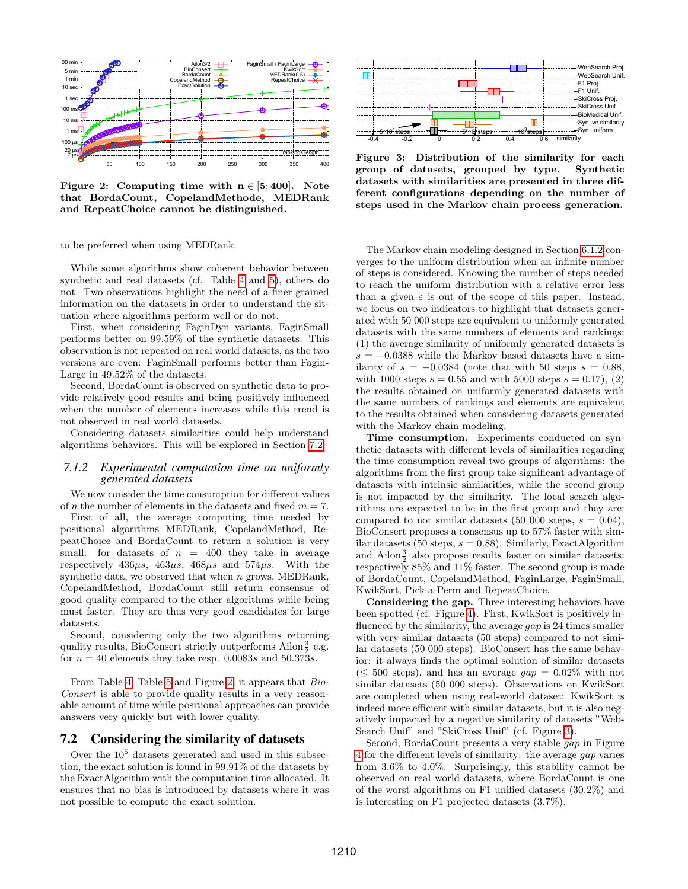

<span id="page-8-1"></span>Figure 2: Computing time with  $n \in [5, 400]$ . Note that BordaCount, CopelandMethode, MEDRank and RepeatChoice cannot be distinguished.

to be preferred when using MEDRank.

While some algorithms show coherent behavior between synthetic and real datasets (cf. Table [4](#page-7-1) and [5\)](#page-7-0), others do not. Two observations highlight the need of a finer grained information on the datasets in order to understand the situation where algorithms perform well or do not.

First, when considering FaginDyn variants, FaginSmall performs better on 99.59% of the synthetic datasets. This observation is not repeated on real world datasets, as the two versions are even: FaginSmall performs better than Fagin-Large in 49.52% of the datasets.

Second, BordaCount is observed on synthetic data to provide relatively good results and being positively influenced when the number of elements increases while this trend is not observed in real world datasets.

Considering datasets similarities could help understand algorithms behaviors. This will be explored in Section [7.2.](#page-8-0)

#### *7.1.2 Experimental computation time on uniformly generated datasets*

We now consider the time consumption for different values of *n* the number of elements in the datasets and fixed  $m = 7$ .

First of all, the average computing time needed by positional algorithms MEDRank, CopelandMethod, RepeatChoice and BordaCount to return a solution is very small: for datasets of  $n = 400$  they take in average respectively  $436\mu s$ ,  $463\mu s$ ,  $468\mu s$  and  $574\mu s$ . With the synthetic data, we observed that when n grows, MEDRank, CopelandMethod, BordaCount still return consensus of good quality compared to the other algorithms while being must faster. They are thus very good candidates for large datasets.

Second, considering only the two algorithms returning quality results, BioConsert strictly outperforms Ailon $\frac{3}{2}$  e.g. for  $n = 40$  elements they take resp. 0.0083s and 50.373s.

From Table [4,](#page-7-1) Table [5](#page-7-0) and Figure [2,](#page-8-1) it appears that Bio-Consert is able to provide quality results in a very reasonable amount of time while positional approaches can provide answers very quickly but with lower quality.

## <span id="page-8-0"></span>7.2 Considering the similarity of datasets

Over the  $10<sup>5</sup>$  datasets generated and used in this subsection, the exact solution is found in 99.91% of the datasets by the ExactAlgorithm with the computation time allocated. It ensures that no bias is introduced by datasets where it was



<span id="page-8-2"></span>Figure 3: Distribution of the similarity for each group of datasets, grouped by type. Synthetic datasets with similarities are presented in three different configurations depending on the number of steps used in the Markov chain process generation.

Figure 21. Computer in the same of microscopy is the same matching the exact solution of the similar possible to compute the exact solution of the similar based of the exact solution of the exact solution of the exact sol The Markov chain modeling designed in Section [6.1.2](#page-6-1) converges to the uniform distribution when an infinite number of steps is considered. Knowing the number of steps needed to reach the uniform distribution with a relative error less than a given  $\varepsilon$  is out of the scope of this paper. Instead, we focus on two indicators to highlight that datasets generated with 50 000 steps are equivalent to uniformly generated datasets with the same numbers of elements and rankings: (1) the average similarity of uniformly generated datasets is  $s = -0.0388$  while the Markov based datasets have a similarity of  $s = -0.0384$  (note that with 50 steps  $s = 0.88$ ). with 1000 steps  $s = 0.55$  and with 5000 steps  $s = 0.17$ , (2) the results obtained on uniformly generated datasets with the same numbers of rankings and elements are equivalent to the results obtained when considering datasets generated with the Markov chain modeling.

Time consumption. Experiments conducted on synthetic datasets with different levels of similarities regarding the time consumption reveal two groups of algorithms: the algorithms from the first group take significant advantage of datasets with intrinsic similarities, while the second group is not impacted by the similarity. The local search algorithms are expected to be in the first group and they are: compared to not similar datasets (50 000 steps,  $s = 0.04$ ), BioConsert proposes a consensus up to 57% faster with similar datasets (50 steps,  $s = 0.88$ ). Similarly, ExactAlgorithm and Ailon $\frac{3}{2}$  also propose results faster on similar datasets: respectively 85% and 11% faster. The second group is made of BordaCount, CopelandMethod, FaginLarge, FaginSmall, KwikSort, Pick-a-Perm and RepeatChoice.

Considering the gap. Three interesting behaviors have been spotted (cf. Figure [4\)](#page-9-0). First, KwikSort is positively influenced by the similarity, the average *qap* is 24 times smaller with very similar datasets (50 steps) compared to not similar datasets (50 000 steps). BioConsert has the same behavior: it always finds the optimal solution of similar datasets  $(< 500$  steps), and has an average  $qap = 0.02\%$  with not similar datasets (50 000 steps). Observations on KwikSort are completed when using real-world dataset: KwikSort is indeed more efficient with similar datasets, but it is also negatively impacted by a negative similarity of datasets "Web-Search Unif" and "SkiCross Unif" (cf. Figure [3\)](#page-8-2).

Second, BordaCount presents a very stable gap in Figure [4](#page-9-0) for the different levels of similarity: the average gap varies from 3.6% to 4.0%. Surprisingly, this stability cannot be observed on real world datasets, where BordaCount is one of the worst algorithms on F1 unified datasets (30.2%) and is interesting on F1 projected datasets (3.7%).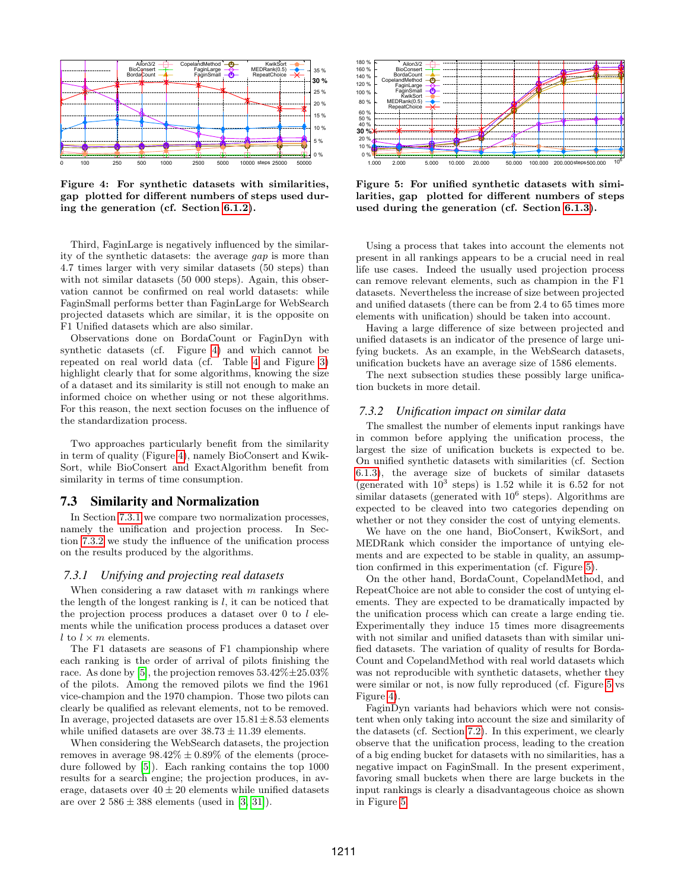

<span id="page-9-0"></span>Figure 4: For synthetic datasets with similarities, gap plotted for different numbers of steps used during the generation (cf. Section [6.1.2\)](#page-6-1).

Third, FaginLarge is negatively influenced by the similarity of the synthetic datasets: the average gap is more than 4.7 times larger with very similar datasets (50 steps) than with not similar datasets (50 000 steps). Again, this observation cannot be confirmed on real world datasets: while FaginSmall performs better than FaginLarge for WebSearch projected datasets which are similar, it is the opposite on F1 Unified datasets which are also similar.

Observations done on BordaCount or FaginDyn with synthetic datasets (cf. Figure [4\)](#page-9-0) and which cannot be repeated on real world data (cf. Table [4](#page-7-1) and Figure [3\)](#page-8-2) highlight clearly that for some algorithms, knowing the size of a dataset and its similarity is still not enough to make an informed choice on whether using or not these algorithms. For this reason, the next section focuses on the influence of the standardization process.

Two approaches particularly benefit from the similarity in term of quality (Figure [4\)](#page-9-0), namely BioConsert and Kwik-Sort, while BioConsert and ExactAlgorithm benefit from similarity in terms of time consumption.

## 7.3 Similarity and Normalization

In Section [7.3.1](#page-9-1) we compare two normalization processes, namely the unification and projection process. In Section [7.3.2](#page-9-2) we study the influence of the unification process on the results produced by the algorithms.

## <span id="page-9-1"></span>*7.3.1 Unifying and projecting real datasets*

When considering a raw dataset with  $m$  rankings where the length of the longest ranking is  $l$ , it can be noticed that the projection process produces a dataset over 0 to l elements while the unification process produces a dataset over l to  $l \times m$  elements.

The F1 datasets are seasons of F1 championship where each ranking is the order of arrival of pilots finishing the race. As done by [\[5\]](#page-11-3), the projection removes  $53.42\% \pm 25.03\%$ of the pilots. Among the removed pilots we find the 1961 vice-champion and the 1970 champion. Those two pilots can clearly be qualified as relevant elements, not to be removed. In average, projected datasets are over  $15.81 \pm 8.53$  elements while unified datasets are over  $38.73 \pm 11.39$  elements.

When considering the WebSearch datasets, the projection removes in average  $98.42\% \pm 0.89\%$  of the elements (procedure followed by [\[5\]](#page-11-3)). Each ranking contains the top 1000 results for a search engine; the projection produces, in average, datasets over  $40 \pm 20$  elements while unified datasets are over  $2\,586 \pm 388$  elements (used in [\[3,](#page-11-13) [31\]](#page-11-11)).



<span id="page-9-3"></span>Figure 5: For unified synthetic datasets with similarities, gap plotted for different numbers of steps used during the generation (cf. Section [6.1.3\)](#page-6-3).

Using a process that takes into account the elements not present in all rankings appears to be a crucial need in real life use cases. Indeed the usually used projection process can remove relevant elements, such as champion in the F1 datasets. Nevertheless the increase of size between projected and unified datasets (there can be from 2.4 to 65 times more elements with unification) should be taken into account.

Having a large difference of size between projected and unified datasets is an indicator of the presence of large unifying buckets. As an example, in the WebSearch datasets, unification buckets have an average size of 1586 elements.

The next subsection studies these possibly large unification buckets in more detail.

#### <span id="page-9-2"></span>*7.3.2 Unification impact on similar data*

The smallest the number of elements input rankings have in common before applying the unification process, the largest the size of unification buckets is expected to be. On unified synthetic datasets with similarities (cf. Section [6.1.3\)](#page-6-3), the average size of buckets of similar datasets (generated with  $10^3$  steps) is 1.52 while it is 6.52 for not similar datasets (generated with  $10^6$  steps). Algorithms are expected to be cleaved into two categories depending on whether or not they consider the cost of untying elements.

We have on the one hand, BioConsert, KwikSort, and MEDRank which consider the importance of untying elements and are expected to be stable in quality, an assumption confirmed in this experimentation (cf. Figure [5\)](#page-9-3).

On the other hand, BordaCount, CopelandMethod, and RepeatChoice are not able to consider the cost of untying elements. They are expected to be dramatically impacted by the unification process which can create a large ending tie. Experimentally they induce 15 times more disagreements with not similar and unified datasets than with similar unified datasets. The variation of quality of results for Borda-Count and CopelandMethod with real world datasets which was not reproducible with synthetic datasets, whether they were similar or not, is now fully reproduced (cf. Figure [5](#page-9-3) vs Figure [4\)](#page-9-0).

FaginDyn variants had behaviors which were not consistent when only taking into account the size and similarity of the datasets (cf. Section [7.2\)](#page-8-0). In this experiment, we clearly observe that the unification process, leading to the creation of a big ending bucket for datasets with no similarities, has a negative impact on FaginSmall. In the present experiment, favoring small buckets when there are large buckets in the input rankings is clearly a disadvantageous choice as shown in Figure [5.](#page-9-3)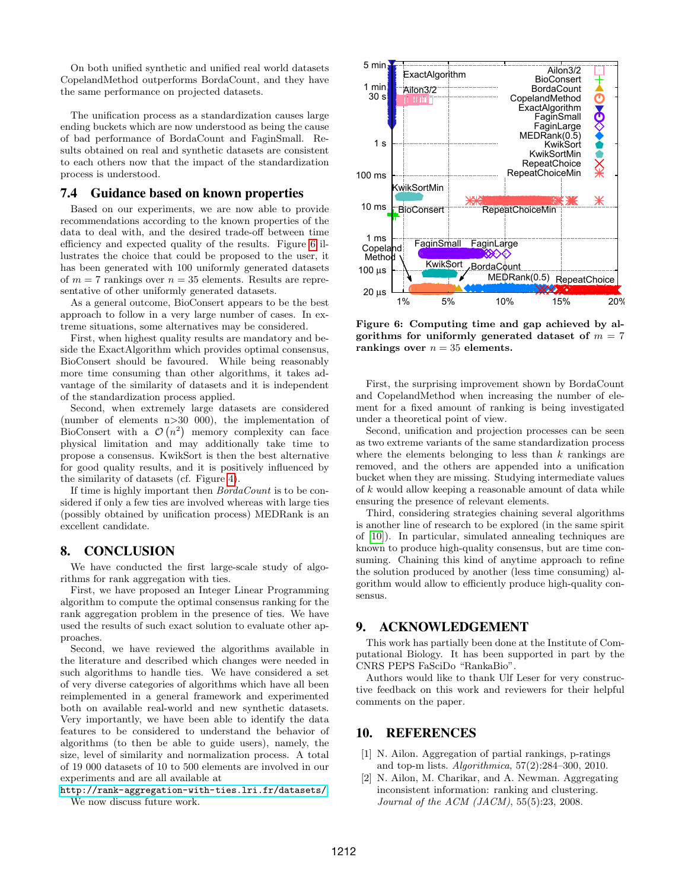On both unified synthetic and unified real world datasets CopelandMethod outperforms BordaCount, and they have the same performance on projected datasets.

The unification process as a standardization causes large ending buckets which are now understood as being the cause of bad performance of BordaCount and FaginSmall. Results obtained on real and synthetic datasets are consistent to each others now that the impact of the standardization process is understood.

## 7.4 Guidance based on known properties

Based on our experiments, we are now able to provide recommendations according to the known properties of the data to deal with, and the desired trade-off between time efficiency and expected quality of the results. Figure [6](#page-10-2) illustrates the choice that could be proposed to the user, it has been generated with 100 uniformly generated datasets of  $m = 7$  rankings over  $n = 35$  elements. Results are representative of other uniformly generated datasets.

As a general outcome, BioConsert appears to be the best approach to follow in a very large number of cases. In extreme situations, some alternatives may be considered.

First, when highest quality results are mandatory and beside the ExactAlgorithm which provides optimal consensus, BioConsert should be favoured. While being reasonably more time consuming than other algorithms, it takes advantage of the similarity of datasets and it is independent of the standardization process applied.

Second, when extremely large datasets are considered (number of elements n>30 000), the implementation of BioConsert with a  $\mathcal{O}(n^2)$  memory complexity can face physical limitation and may additionally take time to propose a consensus. KwikSort is then the best alternative for good quality results, and it is positively influenced by the similarity of datasets (cf. Figure [4\)](#page-9-0).

If time is highly important then BordaCount is to be considered if only a few ties are involved whereas with large ties (possibly obtained by unification process) MEDRank is an excellent candidate.

## 8. CONCLUSION

We have conducted the first large-scale study of algorithms for rank aggregation with ties.

First, we have proposed an Integer Linear Programming algorithm to compute the optimal consensus ranking for the rank aggregation problem in the presence of ties. We have used the results of such exact solution to evaluate other approaches.

Second, we have reviewed the algorithms available in the literature and described which changes were needed in such algorithms to handle ties. We have considered a set of very diverse categories of algorithms which have all been reimplemented in a general framework and experimented both on available real-world and new synthetic datasets. Very importantly, we have been able to identify the data features to be considered to understand the behavior of algorithms (to then be able to guide users), namely, the size, level of similarity and normalization process. A total of 19 000 datasets of 10 to 500 elements are involved in our experiments and are all available at

<http://rank-aggregation-with-ties.lri.fr/datasets/>.

We now discuss future work.



<span id="page-10-2"></span>Figure 6: Computing time and gap achieved by algorithms for uniformly generated dataset of  $m = 7$ rankings over  $n = 35$  elements.

First, the surprising improvement shown by BordaCount and CopelandMethod when increasing the number of element for a fixed amount of ranking is being investigated under a theoretical point of view.

Second, unification and projection processes can be seen as two extreme variants of the same standardization process where the elements belonging to less than  $k$  rankings are removed, and the others are appended into a unification bucket when they are missing. Studying intermediate values of k would allow keeping a reasonable amount of data while ensuring the presence of relevant elements.

Third, considering strategies chaining several algorithms is another line of research to be explored (in the same spirit of [\[10\]](#page-11-22)). In particular, simulated annealing techniques are known to produce high-quality consensus, but are time consuming. Chaining this kind of anytime approach to refine the solution produced by another (less time consuming) algorithm would allow to efficiently produce high-quality consensus.

## 9. ACKNOWLEDGEMENT

This work has partially been done at the Institute of Computational Biology. It has been supported in part by the CNRS PEPS FaSciDo "RankaBio".

Authors would like to thank Ulf Leser for very constructive feedback on this work and reviewers for their helpful comments on the paper.

## 10. REFERENCES

- <span id="page-10-0"></span>[1] N. Ailon. Aggregation of partial rankings, p-ratings and top-m lists. Algorithmica, 57(2):284–300, 2010.
- <span id="page-10-1"></span>[2] N. Ailon, M. Charikar, and A. Newman. Aggregating inconsistent information: ranking and clustering. Journal of the ACM (JACM), 55(5):23, 2008.